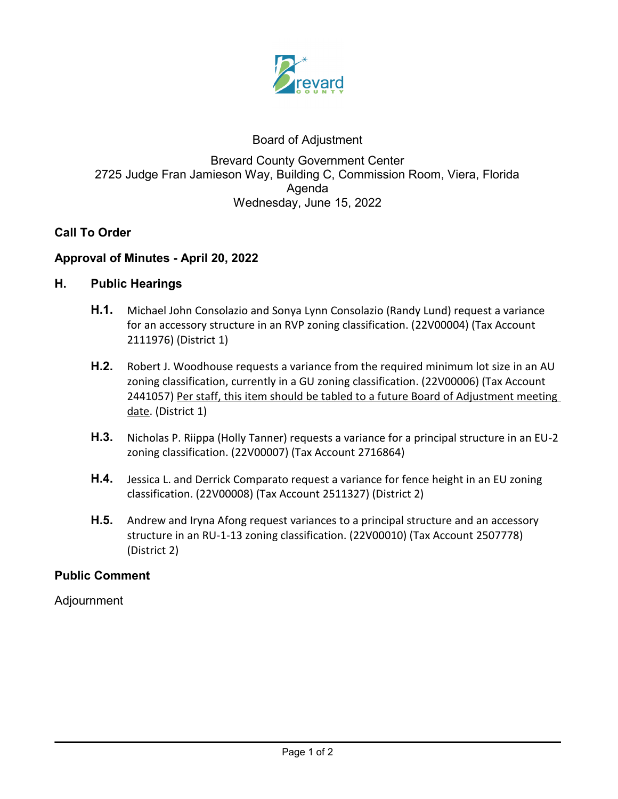

# Board of Adjustment

# Brevard County Government Center 2725 Judge Fran Jamieson Way, Building C, Commission Room, Viera, Florida Agenda Wednesday, June 15, 2022

# **Call To Order**

### **Approval of Minutes - April 20, 2022**

### **H. Public Hearings**

- **H.1.** [Michael John Consolazio and Sonya Lynn Consolazio \(Randy Lund\) request a variance](http://brevardfl.legistar.com/gateway.aspx?m=l&id=/matter.aspx?key=7807)  for an accessory structure in an RVP zoning classification. (22V00004) (Tax Account 2111976) (District 1)
- **H.2.** Robert J. Woodhouse requests a variance from the required minimum lot size in an AU zoning classification, currently in a GU zoning classification. (22V00006) (Tax Account [2441057\) Per staff, this item should be tabled to a future Board of Adjustment meeting](http://brevardfl.legistar.com/gateway.aspx?m=l&id=/matter.aspx?key=7808)  date. (District 1)
- **H.3.** [Nicholas P. Riippa \(Holly Tanner\) requests a variance for a principal structure in an EU-2](http://brevardfl.legistar.com/gateway.aspx?m=l&id=/matter.aspx?key=7809) zoning classification. (22V00007) (Tax Account 2716864)
- **H.4.** [Jessica L. and Derrick Comparato request a variance for fence height in an EU zoning](http://brevardfl.legistar.com/gateway.aspx?m=l&id=/matter.aspx?key=7813)  classification. (22V00008) (Tax Account 2511327) (District 2)
- **H.5.** [Andrew and Iryna Afong request variances to a principal structure and an accessory](http://brevardfl.legistar.com/gateway.aspx?m=l&id=/matter.aspx?key=7814)  structure in an RU-1-13 zoning classification. (22V00010) (Tax Account 2507778) (District 2)

### **Public Comment**

Adjournment